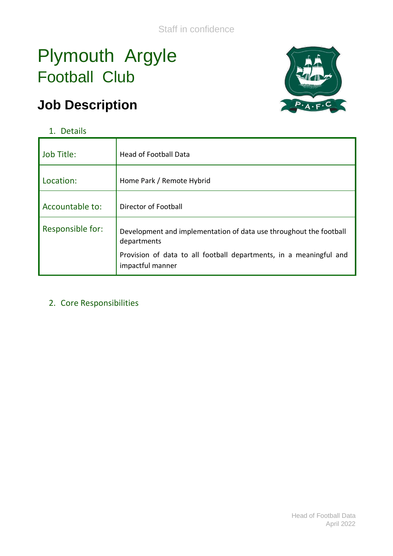# Plymouth Argyle Football Club

# **Job Description**



## 1. Details

| Job Title:       | <b>Head of Football Data</b>                                                           |
|------------------|----------------------------------------------------------------------------------------|
| Location:        | Home Park / Remote Hybrid                                                              |
| Accountable to:  | Director of Football                                                                   |
| Responsible for: | Development and implementation of data use throughout the football<br>departments      |
|                  | Provision of data to all football departments, in a meaningful and<br>impactful manner |

#### 2. Core Responsibilities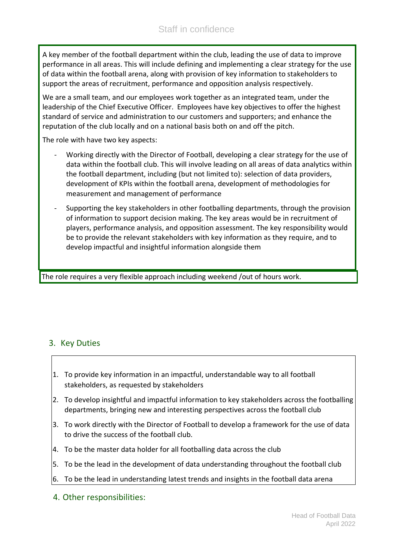A key member of the football department within the club, leading the use of data to improve performance in all areas. This will include defining and implementing a clear strategy for the use of data within the football arena, along with provision of key information to stakeholders to support the areas of recruitment, performance and opposition analysis respectively.

We are a small team, and our employees work together as an integrated team, under the leadership of the Chief Executive Officer. Employees have key objectives to offer the highest standard of service and administration to our customers and supporters; and enhance the reputation of the club locally and on a national basis both on and off the pitch.

The role with have two key aspects:

- Working directly with the Director of Football, developing a clear strategy for the use of data within the football club. This will involve leading on all areas of data analytics within the football department, including (but not limited to): selection of data providers, development of KPIs within the football arena, development of methodologies for measurement and management of performance
- Supporting the key stakeholders in other footballing departments, through the provision of information to support decision making. The key areas would be in recruitment of players, performance analysis, and opposition assessment. The key responsibility would be to provide the relevant stakeholders with key information as they require, and to develop impactful and insightful information alongside them

The role requires a very flexible approach including weekend /out of hours work.

#### 3. Key Duties

- 1. To provide key information in an impactful, understandable way to all football stakeholders, as requested by stakeholders
- 2. To develop insightful and impactful information to key stakeholders across the footballing departments, bringing new and interesting perspectives across the football club
- 3. To work directly with the Director of Football to develop a framework for the use of data to drive the success of the football club.
- 4. To be the master data holder for all footballing data across the club
- 5. To be the lead in the development of data understanding throughout the football club
- 6. To be the lead in understanding latest trends and insights in the football data arena
- 4. Other responsibilities: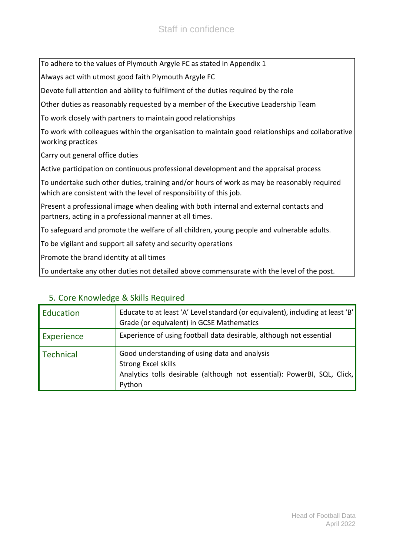To adhere to the values of Plymouth Argyle FC as stated in Appendix 1

Always act with utmost good faith Plymouth Argyle FC

Devote full attention and ability to fulfilment of the duties required by the role

Other duties as reasonably requested by a member of the Executive Leadership Team

To work closely with partners to maintain good relationships

To work with colleagues within the organisation to maintain good relationships and collaborative working practices

Carry out general office duties

Active participation on continuous professional development and the appraisal process

To undertake such other duties, training and/or hours of work as may be reasonably required which are consistent with the level of responsibility of this job.

Present a professional image when dealing with both internal and external contacts and partners, acting in a professional manner at all times.

To safeguard and promote the welfare of all children, young people and vulnerable adults.

To be vigilant and support all safety and security operations

Promote the brand identity at all times

To undertake any other duties not detailed above commensurate with the level of the post.

| Education         | Educate to at least 'A' Level standard (or equivalent), including at least 'B'<br>Grade (or equivalent) in GCSE Mathematics                                |
|-------------------|------------------------------------------------------------------------------------------------------------------------------------------------------------|
| <b>Experience</b> | Experience of using football data desirable, although not essential                                                                                        |
| l Technical       | Good understanding of using data and analysis<br>Strong Excel skills<br>Analytics tolls desirable (although not essential): PowerBI, SQL, Click,<br>Python |

#### 5. Core Knowledge & Skills Required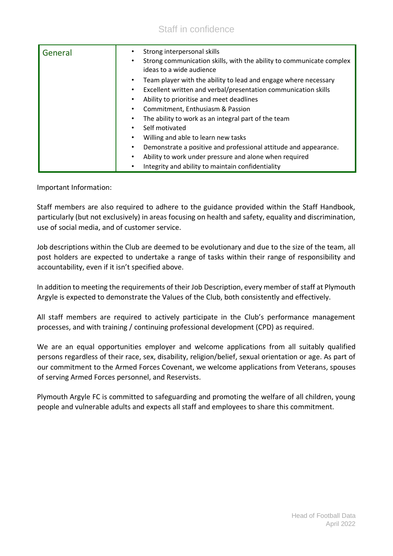### Staff in confidence

| General | Strong interpersonal skills<br>Strong communication skills, with the ability to communicate complex<br>ideas to a wide audience |
|---------|---------------------------------------------------------------------------------------------------------------------------------|
|         | Team player with the ability to lead and engage where necessary                                                                 |
|         | Excellent written and verbal/presentation communication skills<br>$\bullet$                                                     |
|         | Ability to prioritise and meet deadlines<br>٠                                                                                   |
|         | Commitment, Enthusiasm & Passion                                                                                                |
|         | The ability to work as an integral part of the team                                                                             |
|         | Self motivated                                                                                                                  |
|         | Willing and able to learn new tasks<br>٠                                                                                        |
|         | Demonstrate a positive and professional attitude and appearance.<br>٠                                                           |
|         | Ability to work under pressure and alone when required<br>$\bullet$                                                             |
|         | Integrity and ability to maintain confidentiality                                                                               |

Important Information:

Staff members are also required to adhere to the guidance provided within the Staff Handbook, particularly (but not exclusively) in areas focusing on health and safety, equality and discrimination, use of social media, and of customer service.

Job descriptions within the Club are deemed to be evolutionary and due to the size of the team, all post holders are expected to undertake a range of tasks within their range of responsibility and accountability, even if it isn't specified above.

In addition to meeting the requirements of their Job Description, every member of staff at Plymouth Argyle is expected to demonstrate the Values of the Club, both consistently and effectively.

All staff members are required to actively participate in the Club's performance management processes, and with training / continuing professional development (CPD) as required.

We are an equal opportunities employer and welcome applications from all suitably qualified persons regardless of their race, sex, disability, religion/belief, sexual orientation or age. As part of our commitment to the Armed Forces Covenant, we welcome applications from Veterans, spouses of serving Armed Forces personnel, and Reservists.

Plymouth Argyle FC is committed to safeguarding and promoting the welfare of all children, young people and vulnerable adults and expects all staff and employees to share this commitment.